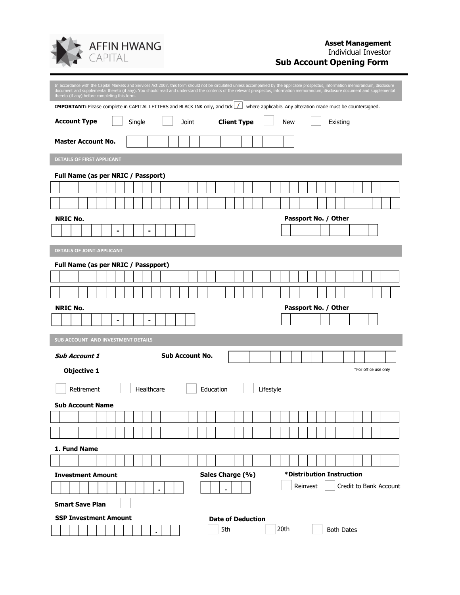

| thereto (if any) before completing this form.                                 | In accordance with the Capital Markets and Services Act 2007, this form should not be circulated unless accompanied by the applicable prospectus, information memorandum, disclosure<br>document and supplemental thereto (if any). You should read and understand the contents of the relevant prospectus, information memorandum, disclosure document and supplemental |  |  |  |  |  |  |
|-------------------------------------------------------------------------------|--------------------------------------------------------------------------------------------------------------------------------------------------------------------------------------------------------------------------------------------------------------------------------------------------------------------------------------------------------------------------|--|--|--|--|--|--|
|                                                                               | IMPORTANT: Please complete in CAPITAL LETTERS and BLACK INK only, and tick  / where applicable. Any alteration made must be countersigned.                                                                                                                                                                                                                               |  |  |  |  |  |  |
| <b>Account Type</b><br>Joint<br>Single                                        | <b>Client Type</b><br>New<br>Existing                                                                                                                                                                                                                                                                                                                                    |  |  |  |  |  |  |
| <b>Master Account No.</b>                                                     |                                                                                                                                                                                                                                                                                                                                                                          |  |  |  |  |  |  |
| <b>DETAILS OF FIRST APPLICANT</b>                                             |                                                                                                                                                                                                                                                                                                                                                                          |  |  |  |  |  |  |
| Full Name (as per NRIC / Passport)                                            |                                                                                                                                                                                                                                                                                                                                                                          |  |  |  |  |  |  |
| <b>NRIC No.</b><br>-                                                          | Passport No. / Other                                                                                                                                                                                                                                                                                                                                                     |  |  |  |  |  |  |
| <b>DETAILS OF JOINT-APPLICANT</b>                                             |                                                                                                                                                                                                                                                                                                                                                                          |  |  |  |  |  |  |
| Full Name (as per NRIC / Passpport)<br><b>NRIC No.</b>                        | Passport No. / Other                                                                                                                                                                                                                                                                                                                                                     |  |  |  |  |  |  |
| ۰<br>۰                                                                        |                                                                                                                                                                                                                                                                                                                                                                          |  |  |  |  |  |  |
| SUB ACCOUNT AND INVESTMENT DETAILS                                            |                                                                                                                                                                                                                                                                                                                                                                          |  |  |  |  |  |  |
| <b>Sub Account No.</b><br><b>Sub Account 1</b>                                |                                                                                                                                                                                                                                                                                                                                                                          |  |  |  |  |  |  |
| <b>Objective 1</b>                                                            | *For office use only                                                                                                                                                                                                                                                                                                                                                     |  |  |  |  |  |  |
| Retirement<br>Healthcare<br>Education<br>Lifestyle<br><b>Sub Account Name</b> |                                                                                                                                                                                                                                                                                                                                                                          |  |  |  |  |  |  |
|                                                                               |                                                                                                                                                                                                                                                                                                                                                                          |  |  |  |  |  |  |
|                                                                               |                                                                                                                                                                                                                                                                                                                                                                          |  |  |  |  |  |  |
| 1. Fund Name                                                                  |                                                                                                                                                                                                                                                                                                                                                                          |  |  |  |  |  |  |
|                                                                               |                                                                                                                                                                                                                                                                                                                                                                          |  |  |  |  |  |  |
| <b>Investment Amount</b>                                                      | *Distribution Instruction<br>Sales Charge (%)                                                                                                                                                                                                                                                                                                                            |  |  |  |  |  |  |
| ٠                                                                             | Reinvest<br>Credit to Bank Account<br>$\bullet$                                                                                                                                                                                                                                                                                                                          |  |  |  |  |  |  |
| <b>Smart Save Plan</b>                                                        |                                                                                                                                                                                                                                                                                                                                                                          |  |  |  |  |  |  |
| <b>SSP Investment Amount</b><br><b>Date of Deduction</b>                      |                                                                                                                                                                                                                                                                                                                                                                          |  |  |  |  |  |  |
| $\bullet$                                                                     | 5th<br>20th<br><b>Both Dates</b>                                                                                                                                                                                                                                                                                                                                         |  |  |  |  |  |  |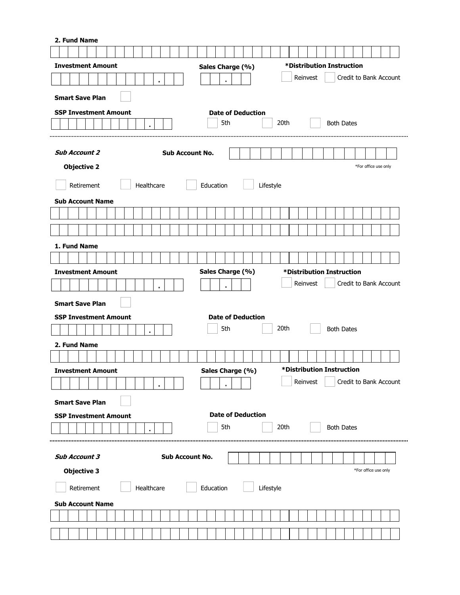| 2. Fund Name                                                              |                                 |                           |                        |  |  |  |  |  |
|---------------------------------------------------------------------------|---------------------------------|---------------------------|------------------------|--|--|--|--|--|
|                                                                           |                                 |                           |                        |  |  |  |  |  |
| *Distribution Instruction<br><b>Investment Amount</b><br>Sales Charge (%) |                                 |                           |                        |  |  |  |  |  |
| ٠                                                                         | $\ddot{\phantom{0}}$            | Reinvest                  | Credit to Bank Account |  |  |  |  |  |
| <b>Smart Save Plan</b>                                                    |                                 |                           |                        |  |  |  |  |  |
|                                                                           |                                 |                           |                        |  |  |  |  |  |
| <b>SSP Investment Amount</b>                                              | <b>Date of Deduction</b><br>5th | 20th                      | <b>Both Dates</b>      |  |  |  |  |  |
| $\bullet$                                                                 |                                 |                           |                        |  |  |  |  |  |
|                                                                           |                                 |                           |                        |  |  |  |  |  |
| <b>Sub Account 2</b><br><b>Sub Account No.</b>                            |                                 |                           |                        |  |  |  |  |  |
| <b>Objective 2</b>                                                        |                                 |                           | *For office use only   |  |  |  |  |  |
| Retirement<br>Healthcare                                                  | Education                       | Lifestyle                 |                        |  |  |  |  |  |
| <b>Sub Account Name</b>                                                   |                                 |                           |                        |  |  |  |  |  |
|                                                                           |                                 |                           |                        |  |  |  |  |  |
|                                                                           |                                 |                           |                        |  |  |  |  |  |
|                                                                           |                                 |                           |                        |  |  |  |  |  |
| 1. Fund Name                                                              |                                 |                           |                        |  |  |  |  |  |
|                                                                           |                                 |                           |                        |  |  |  |  |  |
| <b>Investment Amount</b>                                                  | Sales Charge (%)                | *Distribution Instruction |                        |  |  |  |  |  |
| ٠                                                                         |                                 | Reinvest                  | Credit to Bank Account |  |  |  |  |  |
| <b>Smart Save Plan</b>                                                    |                                 |                           |                        |  |  |  |  |  |
| <b>SSP Investment Amount</b>                                              | <b>Date of Deduction</b>        |                           |                        |  |  |  |  |  |
| $\bullet$                                                                 | 5th                             | 20th                      | <b>Both Dates</b>      |  |  |  |  |  |
| 2. Fund Name                                                              |                                 |                           |                        |  |  |  |  |  |
|                                                                           |                                 |                           |                        |  |  |  |  |  |
| <b>Investment Amount</b>                                                  | Sales Charge (%)                | *Distribution Instruction |                        |  |  |  |  |  |
|                                                                           |                                 | Reinvest                  | Credit to Bank Account |  |  |  |  |  |
| <b>Smart Save Plan</b>                                                    |                                 |                           |                        |  |  |  |  |  |
| <b>Date of Deduction</b><br><b>SSP Investment Amount</b>                  |                                 |                           |                        |  |  |  |  |  |
|                                                                           | 5th                             | 20th                      | <b>Both Dates</b>      |  |  |  |  |  |
|                                                                           |                                 |                           |                        |  |  |  |  |  |
|                                                                           |                                 |                           |                        |  |  |  |  |  |
| Sub Account No.<br><b>Sub Account 3</b>                                   |                                 |                           |                        |  |  |  |  |  |
| <b>Objective 3</b><br>*For office use only                                |                                 |                           |                        |  |  |  |  |  |
| Education<br>Retirement<br>Healthcare<br>Lifestyle                        |                                 |                           |                        |  |  |  |  |  |
| <b>Sub Account Name</b>                                                   |                                 |                           |                        |  |  |  |  |  |
|                                                                           |                                 |                           |                        |  |  |  |  |  |
|                                                                           |                                 |                           |                        |  |  |  |  |  |
|                                                                           |                                 |                           |                        |  |  |  |  |  |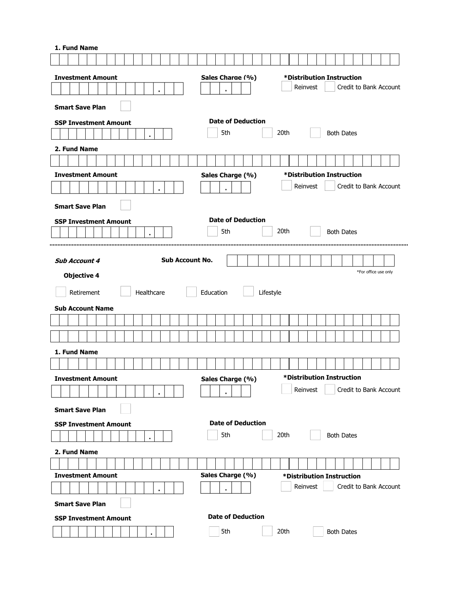| 1. Fund Name                                             |                          |                                                                 |  |  |  |  |  |
|----------------------------------------------------------|--------------------------|-----------------------------------------------------------------|--|--|--|--|--|
|                                                          |                          |                                                                 |  |  |  |  |  |
| <b>Investment Amount</b>                                 | Sales Charge (%)         | *Distribution Instruction                                       |  |  |  |  |  |
| ٠                                                        | ٠                        | Credit to Bank Account<br>Reinvest                              |  |  |  |  |  |
| <b>Smart Save Plan</b>                                   |                          |                                                                 |  |  |  |  |  |
|                                                          | <b>Date of Deduction</b> |                                                                 |  |  |  |  |  |
| <b>SSP Investment Amount</b>                             | 5th                      | 20th<br><b>Both Dates</b>                                       |  |  |  |  |  |
| $\bullet$                                                |                          |                                                                 |  |  |  |  |  |
| 2. Fund Name                                             |                          |                                                                 |  |  |  |  |  |
|                                                          |                          |                                                                 |  |  |  |  |  |
| <b>Investment Amount</b>                                 | Sales Charge (%)         | *Distribution Instruction<br>Credit to Bank Account<br>Reinvest |  |  |  |  |  |
| $\bullet$                                                |                          |                                                                 |  |  |  |  |  |
| <b>Smart Save Plan</b>                                   |                          |                                                                 |  |  |  |  |  |
| <b>SSP Investment Amount</b>                             | <b>Date of Deduction</b> |                                                                 |  |  |  |  |  |
| ٠                                                        | 5th                      | 20th<br><b>Both Dates</b>                                       |  |  |  |  |  |
|                                                          |                          |                                                                 |  |  |  |  |  |
| <b>Sub Account No.</b><br><b>Sub Account 4</b>           |                          |                                                                 |  |  |  |  |  |
| <b>Objective 4</b>                                       |                          | *For office use only                                            |  |  |  |  |  |
| Healthcare<br>Retirement                                 | Education<br>Lifestyle   |                                                                 |  |  |  |  |  |
|                                                          |                          |                                                                 |  |  |  |  |  |
| <b>Sub Account Name</b>                                  |                          |                                                                 |  |  |  |  |  |
|                                                          |                          |                                                                 |  |  |  |  |  |
|                                                          |                          |                                                                 |  |  |  |  |  |
| 1. Fund Name                                             |                          |                                                                 |  |  |  |  |  |
|                                                          |                          |                                                                 |  |  |  |  |  |
| <b>Investment Amount</b>                                 | Sales Charge (%)         | *Distribution Instruction                                       |  |  |  |  |  |
| ٠                                                        |                          | Reinvest<br>Credit to Bank Account                              |  |  |  |  |  |
| <b>Smart Save Plan</b>                                   |                          |                                                                 |  |  |  |  |  |
| <b>Date of Deduction</b><br><b>SSP Investment Amount</b> |                          |                                                                 |  |  |  |  |  |
| $\bullet$                                                | 5th                      | 20th<br><b>Both Dates</b>                                       |  |  |  |  |  |
| 2. Fund Name                                             |                          |                                                                 |  |  |  |  |  |
|                                                          |                          |                                                                 |  |  |  |  |  |
| <b>Investment Amount</b>                                 | Sales Charge (%)         | *Distribution Instruction                                       |  |  |  |  |  |
| ٠                                                        |                          | Reinvest<br>Credit to Bank Account                              |  |  |  |  |  |
| <b>Smart Save Plan</b>                                   |                          |                                                                 |  |  |  |  |  |
| <b>Date of Deduction</b>                                 |                          |                                                                 |  |  |  |  |  |
| <b>SSP Investment Amount</b>                             |                          |                                                                 |  |  |  |  |  |
|                                                          | 5th                      | 20th<br><b>Both Dates</b>                                       |  |  |  |  |  |